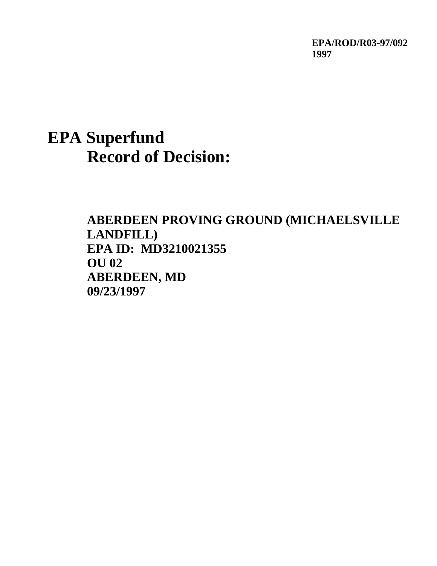**EPA/ROD/R03-97/092 1997**

# **EPA Superfund Record of Decision:**

**ABERDEEN PROVING GROUND (MICHAELSVILLE LANDFILL) EPA ID: MD3210021355 OU 02 ABERDEEN, MD 09/23/1997**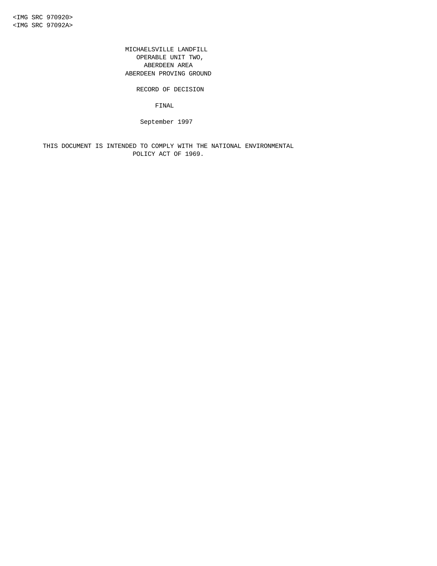MICHAELSVILLE LANDFILL OPERABLE UNIT TWO, ABERDEEN AREA ABERDEEN PROVING GROUND

RECORD OF DECISION

FINAL

September 1997

 THIS DOCUMENT IS INTENDED TO COMPLY WITH THE NATIONAL ENVIRONMENTAL POLICY ACT OF 1969.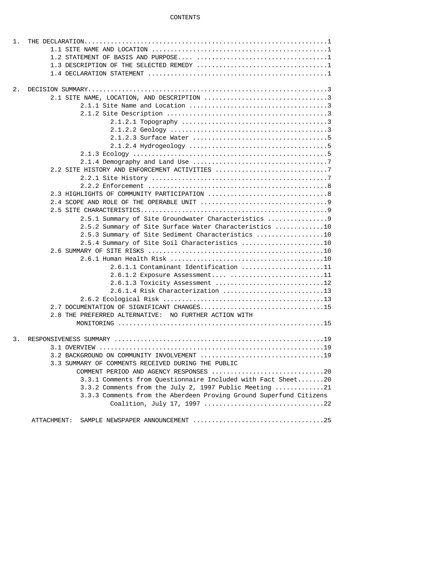## CONTENTS

| 1. |                                                                    |
|----|--------------------------------------------------------------------|
|    |                                                                    |
|    |                                                                    |
|    | 1.3 DESCRIPTION OF THE SELECTED REMEDY 1                           |
|    |                                                                    |
|    |                                                                    |
| 2. |                                                                    |
|    | 2.1 SITE NAME, LOCATION, AND DESCRIPTION 3                         |
|    |                                                                    |
|    |                                                                    |
|    |                                                                    |
|    |                                                                    |
|    |                                                                    |
|    |                                                                    |
|    |                                                                    |
|    |                                                                    |
|    |                                                                    |
|    |                                                                    |
|    |                                                                    |
|    |                                                                    |
|    |                                                                    |
|    |                                                                    |
|    | 2.5.1 Summary of Site Groundwater Characteristics 9                |
|    | 2.5.2 Summary of Site Surface Water Characteristics 10             |
|    | 2.5.3 Summary of Site Sediment Characteristics 10                  |
|    | 2.5.4 Summary of Site Soil Characteristics 10                      |
|    |                                                                    |
|    |                                                                    |
|    | 2.6.1.1 Contaminant Identification 11                              |
|    | 2.6.1.2 Exposure Assessment 11                                     |
|    | 2.6.1.3 Toxicity Assessment 12                                     |
|    | 2.6.1.4 Risk Characterization 13                                   |
|    |                                                                    |
|    | 2.7 DOCUMENTATION OF SIGNIFICANT CHANGES15                         |
|    | 2.8 THE PREFERRED ALTERNATIVE: NO FURTHER ACTION WITH              |
|    |                                                                    |
|    |                                                                    |
| 3. |                                                                    |
|    |                                                                    |
|    | 3.2 BACKGROUND ON COMMUNITY INVOLVEMENT 19                         |
|    | 3.3 SUMMARY OF COMMENTS RECEIVED DURING THE PUBLIC                 |
|    | COMMENT PERIOD AND AGENCY RESPONSES 20                             |
|    | 3.3.1 Comments from Questionnaire Included with Fact Sheet20       |
|    | 3.3.2 Comments from the July 2, 1997 Public Meeting 21             |
|    | 3.3.3 Comments from the Aberdeen Proving Ground Superfund Citizens |
|    |                                                                    |
|    |                                                                    |
|    | ATTACHMENT:                                                        |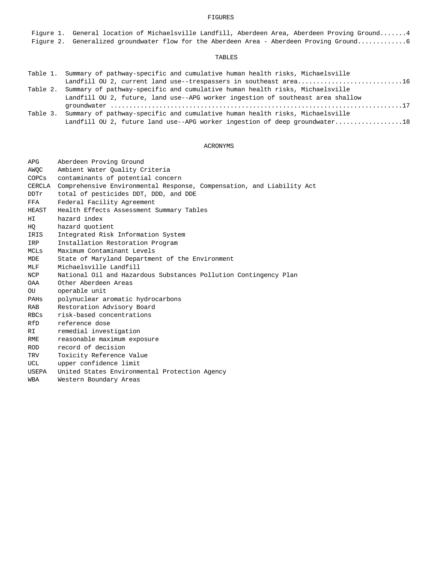## FIGURES

 Figure 1. General location of Michaelsville Landfill, Aberdeen Area, Aberdeen Proving Ground.......4 Figure 2. Generalized groundwater flow for the Aberdeen Area - Aberdeen Proving Ground.............6

# TABLES

| Table 1. Summary of pathway-specific and cumulative human health risks, Michaelsville |
|---------------------------------------------------------------------------------------|
| Landfill OU 2, current land use--trespassers in southeast area16                      |
| Table 2. Summary of pathway-specific and cumulative human health risks, Michaelsville |
| Landfill OU 2, future, land use--APG worker ingestion of southeast area shallow       |
|                                                                                       |
| Table 3. Summary of pathway-specific and cumulative human health risks, Michaelsville |
| Landfill OU 2, future land use--APG worker ingestion of deep groundwater18            |

# ACRONYMS

| <b>APG</b>  | Aberdeen Proving Ground                                               |
|-------------|-----------------------------------------------------------------------|
| AWOC        | Ambient Water Quality Criteria                                        |
| COPCs       | contaminants of potential concern                                     |
| CERCLA      | Comprehensive Environmental Response, Compensation, and Liability Act |
| DDTr        | total of pesticides DDT, DDD, and DDE                                 |
| FFA         | Federal Facility Agreement                                            |
| HEAST       | Health Effects Assessment Summary Tables                              |
| HI.         | hazard index                                                          |
| HO          | hazard quotient                                                       |
| IRIS        | Integrated Risk Information System                                    |
| IRP         | Installation Restoration Program                                      |
| <b>MCLs</b> | Maximum Contaminant Levels                                            |
| <b>MDE</b>  | State of Maryland Department of the Environment                       |
| MLF         | Michaelsville Landfill                                                |
| NCP         | National Oil and Hazardous Substances Pollution Contingency Plan      |
| <b>OAA</b>  | Other Aberdeen Areas                                                  |
| <b>OU</b>   | operable unit                                                         |
| PAHS        | polynuclear aromatic hydrocarbons                                     |
| <b>RAB</b>  | Restoration Advisory Board                                            |
| RBCs        | risk-based concentrations                                             |
| RfD         | reference dose                                                        |
| RI          | remedial investigation                                                |
| RME         | reasonable maximum exposure                                           |
| <b>ROD</b>  | record of decision                                                    |
| TRV         | Toxicity Reference Value                                              |
| UCL         | upper confidence limit                                                |
| USEPA       | United States Environmental Protection Agency                         |
| <b>WBA</b>  | Western Boundary Areas                                                |
|             |                                                                       |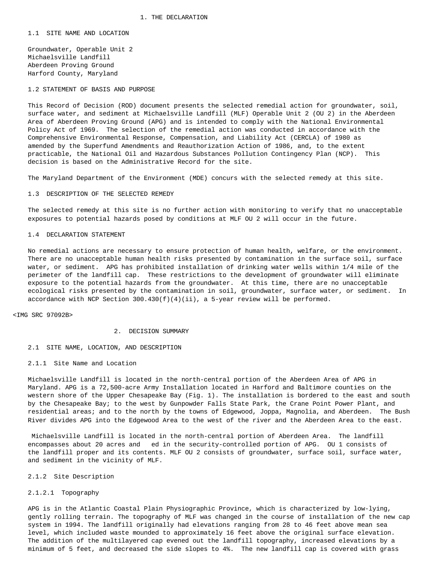1.1 SITE NAME AND LOCATION

 Groundwater, Operable Unit 2 Michaelsville Landfill Aberdeen Proving Ground Harford County, Maryland

1.2 STATEMENT OF BASIS AND PURPOSE

 This Record of Decision (ROD) document presents the selected remedial action for groundwater, soil, surface water, and sediment at Michaelsville Landfill (MLF) Operable Unit 2 (OU 2) in the Aberdeen Area of Aberdeen Proving Ground (APG) and is intended to comply with the National Environmental Policy Act of 1969. The selection of the remedial action was conducted in accordance with the Comprehensive Environmental Response, Compensation, and Liability Act (CERCLA) of 1980 as amended by the Superfund Amendments and Reauthorization Action of 1986, and, to the extent practicable, the National Oil and Hazardous Substances Pollution Contingency Plan (NCP). This decision is based on the Administrative Record for the site.

The Maryland Department of the Environment (MDE) concurs with the selected remedy at this site.

#### 1.3 DESCRIPTION OF THE SELECTED REMEDY

 The selected remedy at this site is no further action with monitoring to verify that no unacceptable exposures to potential hazards posed by conditions at MLF OU 2 will occur in the future.

#### 1.4 DECLARATION STATEMENT

 No remedial actions are necessary to ensure protection of human health, welfare, or the environment. There are no unacceptable human health risks presented by contamination in the surface soil, surface water, or sediment. APG has prohibited installation of drinking water wells within 1/4 mile of the perimeter of the landfill cap. These restrictions to the development of groundwater will eliminate exposure to the potential hazards from the groundwater. At this time, there are no unacceptable ecological risks presented by the contamination in soil, groundwater, surface water, or sediment. In accordance with NCP Section  $300.430(f)(4)(ii)$ , a 5-year review will be performed.

<IMG SRC 97092B>

- 2. DECISION SUMMARY
- 2.1 SITE NAME, LOCATION, AND DESCRIPTION
- 2.1.1 Site Name and Location

 Michaelsville Landfill is located in the north-central portion of the Aberdeen Area of APG in Maryland. APG is a 72,500-acre Army Installation located in Harford and Baltimore counties on the western shore of the Upper Chesapeake Bay (Fig. 1). The installation is bordered to the east and south by the Chesapeake Bay; to the west by Gunpowder Falls State Park, the Crane Point Power Plant, and residential areas; and to the north by the towns of Edgewood, Joppa, Magnolia, and Aberdeen. The Bush River divides APG into the Edgewood Area to the west of the river and the Aberdeen Area to the east.

 Michaelsville Landfill is located in the north-central portion of Aberdeen Area. The landfill encompasses about 20 acres and ed in the security-controlled portion of APG. OU 1 consists of the landfill proper and its contents. MLF OU 2 consists of groundwater, surface soil, surface water, and sediment in the vicinity of MLF.

## 2.1.2 Site Description

## 2.1.2.1 Topography

 APG is in the Atlantic Coastal Plain Physiographic Province, which is characterized by low-lying, gently rolling terrain. The topography of MLF was changed in the course of installation of the new cap system in 1994. The landfill originally had elevations ranging from 28 to 46 feet above mean sea level, which included waste mounded to approximately 16 feet above the original surface elevation. The addition of the multilayered cap evened out the landfill topography, increased elevations by a minimum of 5 feet, and decreased the side slopes to 4%. The new landfill cap is covered with grass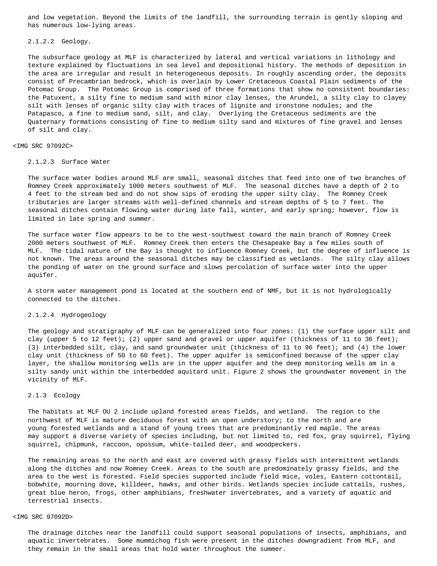and low vegetation. Beyond the limits of the landfill, the surrounding terrain is gently sloping and has numerous low-lying areas.

#### 2.1.2.2 Geology.

 The subsurface geology at MLF is characterized by lateral and vertical variations in lithology and texture explained by fluctuations in sea level and depositional history. The methods of deposition in the area are irregular and result in heterogeneous deposits. In roughly ascending order, the deposits consist of Precambrian bedrock, which is overlain by Lower Cretaceous Coastal Plain sediments of the Potomac Group. The Potomac Group is comprised of three formations that show no consistent boundaries: the Patuxent, a silty fine to medium sand with minor clay lenses, the Arundel, a silty clay to clayey silt with lenses of organic silty clay with traces of lignite and ironstone nodules; and the Patapasco, a fine to medium sand, silt, and clay. Overlying the Cretaceous sediments are the Quaternary formations consisting of fine to medium silty sand and mixtures of fine gravel and lenses of silt and clay.

# <IMG SRC 97092C>

## 2.1.2.3 Surface Water

 The surface water bodies around MLF are small, seasonal ditches that feed into one of two branches of Romney Creek approximately 1000 meters southwest of MLF. The seasonal ditches have a depth of 2 to 4 feet to the stream bed and do not show sips of eroding the upper silty clay. The Romney Creek tributaries are larger streams with well-defined channels and stream depths of 5 to 7 feet. The seasonal ditches contain flowing water during late fall, winter, and early spring; however, flow is limited in late spring and summer.

 The surface water flow appears to be to the west-southwest toward the main branch of Romney Creek 2000 meters southwest of MLF. Romney Creek then enters the Chesapeake Bay a few miles south of MLF. The tidal nature of the Bay is thought to influence Romney Creek, but the degree of influence is not known. The areas around the seasonal ditches may be classified as wetlands. The silty clay allows the ponding of water on the ground surface and slows percolation of surface water into the upper aquifer.

 A storm water management pond is located at the southern end of NMF, but it is not hydrologically connected to the ditches.

## 2.1.2.4 Hydrogeology

 The geology and stratigraphy of MLF can be generalized into four zones: (1) the surface upper silt and clay (upper 5 to 12 feet); (2) upper sand and gravel or upper aquifer (thickness of 11 to 36 feet); (3) interbedded silt, clay, and sand groundwater unit (thickness of 11 to 96 feet); and (4) the lower clay unit (thickness of 50 to 60 feet). The upper aquifer is semiconfined because of the upper clay layer, the shallow monitoring wells are in the upper aquifer and the deep monitoring wells am in a silty sandy unit within the interbedded aquitard unit. Figure 2 shows the groundwater movement in the vicinity of MLF.

## 2.1.3 Ecology

 The habitats at MLF OU 2 include upland forested areas fields, and wetland. The region to the northwest of MLF is mature deciduous forest with an open understory; to the north and are young forested wetlands and a stand of young trees that are predominantly red maple. The areas may support a diverse variety of species including, but not limited to, red fox, gray squirrel, flying squirrel, chipmunk, raccoon, opossum, white-tailed deer, and woodpeckers.

 The remaining areas to the north and east are covered with grassy fields with intermittent wetlands along the ditches and now Romney Creek. Areas to the south are predominately grassy fields, and the area to the west is forested. Field species supported include field mice, voles, Eastern cottontail, bobwhite, mourning dove, killdeer, hawks, and other birds. Wetlands species include cattails, rushes, great blue heron, frogs, other amphibians, freshwater invertebrates, and a variety of aquatic and terrestrial insects.

## <IMG SRC 97092D>

 The drainage ditches near the landfill could support seasonal populations of insects, amphibians, and aquatic invertebrates. Some mummichog fish were present in the ditches downgradient from MLF, and they remain in the small areas that hold water throughout the summer.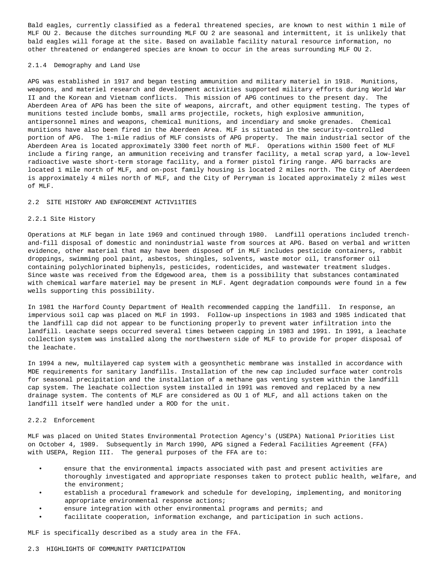Bald eagles, currently classified as a federal threatened species, are known to nest within 1 mile of MLF OU 2. Because the ditches surrounding MLF OU 2 are seasonal and intermittent, it is unlikely that bald eagles will forage at the site. Based on available facility natural resource information, no other threatened or endangered species are known to occur in the areas surrounding MLF OU 2.

## 2.1.4 Demography and Land Use

 APG was established in 1917 and began testing ammunition and military materiel in 1918. Munitions, weapons, and materiel research and development activities supported military efforts during World War II and the Korean and Vietnam conflicts. This mission of APG continues to the present day. The Aberdeen Area of APG has been the site of weapons, aircraft, and other equipment testing. The types of munitions tested include bombs, small arms projectile, rockets, high explosive ammunition, antipersonnel mines and weapons, chemical munitions, and incendiary and smoke grenades. Chemical munitions have also been fired in the Aberdeen Area. MLF is situated in the security-controlled portion of APG. The 1-mile radius of MLF consists of APG property. The main industrial sector of the Aberdeen Area is located approximately 3300 feet north of MLF. Operations within 1500 feet of MLF include a firing range, an ammunition receiving and transfer facility, a metal scrap yard, a low-level radioactive waste short-term storage facility, and a former pistol firing range. APG barracks are located 1 mile north of MLF, and on-post family housing is located 2 miles north. The City of Aberdeen is approximately 4 miles north of MLF, and the City of Perryman is located approximately 2 miles west of MLF.

#### 2.2 SITE HISTORY AND ENFORCEMENT ACTIV11TIES

## 2.2.1 Site History

 Operations at MLF began in late 1969 and continued through 1980. Landfill operations included trench and-fill disposal of domestic and nonindustrial waste from sources at APG. Based on verbal and written evidence, other material that may have been disposed of in MLF includes pesticide containers, rabbit droppings, swimming pool paint, asbestos, shingles, solvents, waste motor oil, transformer oil containing polychlorinated biphenyls, pesticides, rodenticides, and wastewater treatment sludges. Since waste was received from the Edgewood area, them is a possibility that substances contaminated with chemical warfare materiel may be present in MLF. Agent degradation compounds were found in a few wells supporting this possibility.

 In 1981 the Harford County Department of Health recommended capping the landfill. In response, an impervious soil cap was placed on MLF in 1993. Follow-up inspections in 1983 and 1985 indicated that the landfill cap did not appear to be functioning properly to prevent water infiltration into the landfill. Leachate seeps occurred several times between capping in 1983 and 1991. In 1991, a leachate collection system was installed along the northwestern side of MLF to provide for proper disposal of the leachate.

 In 1994 a new, multilayered cap system with a geosynthetic membrane was installed in accordance with MDE requirements for sanitary landfills. Installation of the new cap included surface water controls for seasonal precipitation and the installation of a methane gas venting system within the landfill cap system. The leachate collection system installed in 1991 was removed and replaced by a new drainage system. The contents of MLF are considered as OU 1 of MLF, and all actions taken on the landfill itself were handled under a ROD for the unit.

#### 2.2.2 Enforcement

 MLF was placed on United States Environmental Protection Agency's (USEPA) National Priorities List on October 4, 1989. Subsequently in March 1990, APG signed a Federal Facilities Agreement (FFA) with USEPA, Region III. The general purposes of the FFA are to:

- ensure that the environmental impacts associated with past and present activities are thoroughly investigated and appropriate responses taken to protect public health, welfare, and the environment;
- establish a procedural framework and schedule for developing, implementing, and monitoring appropriate environmental response actions;
- ensure integration with other environmental programs and permits; and
- facilitate cooperation, information exchange, and participation in such actions.

MLF is specifically described as a study area in the FFA.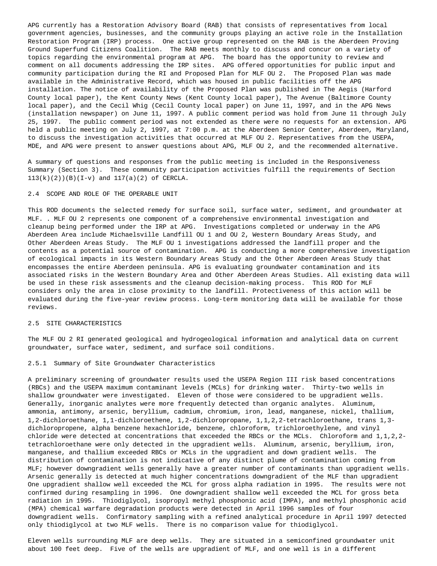APG currently has a Restoration Advisory Board (RAB) that consists of representatives from local government agencies, businesses, and the community groups playing an active role in the Installation Restoration Program (IRP) process. One active group represented on the RAB is the Aberdeen Proving Ground Superfund Citizens Coalition. The RAB meets monthly to discuss and concur on a variety of topics regarding the environmental program at APG. The board has the opportunity to review and comment on all documents addressing the IRP sites. APG offered opportunities for public input and community participation during the RI and Proposed Plan for MLF OU 2. The Proposed Plan was made available in the Administrative Record, which was housed in public facilities off the APG installation. The notice of availability of the Proposed Plan was published in The Aegis (Harford County local paper), the Kent County News (Kent County local paper), The Avenue (Baltimore County local paper), and the Cecil Whig (Cecil County local paper) on June 11, 1997, and in the APG News (installation newspaper) on June 11, 1997. A public comment period was hold from June 11 through July 25, 1997. The public comment period was not extended as there were no requests for an extension. APG held a public meeting on July 2, 1997, at 7:00 p.m. at the Aberdeen Senior Center, Aberdeen, Maryland, to discuss the investigation activities that occurred at MLF OU 2. Representatives from the USEPA, MDE, and APG were present to answer questions about APG, MLF OU 2, and the recommended alternative.

 A summary of questions and responses from the public meeting is included in the Responsiveness Summary (Section 3). These community participation activities fulfill the requirements of Section 113(k)(2))(B)(I-v) and 117(a)(2) of CERCLA.

## 2.4 SCOPE AND ROLE OF THE OPERABLE UNIT

 This ROD documents the selected remedy for surface soil, surface water, sediment, and groundwater at MLF. . MLF OU 2 represents one component of a comprehensive environmental investigation and cleanup being performed under the IRP at APG. Investigations completed or underway in the APG Aberdeen Area include Michaelsville Landfill OU 1 and OU 2, Western Boundary Areas Study, and Other Aberdeen Areas Study. The MLF OU 1 investigations addressed the landfill proper and the contents as a potential source of contamination. APG is conducting a more comprehensive investigation of ecological impacts in its Western Boundary Areas Study and the Other Aberdeen Areas Study that encompasses the entire Aberdeen peninsula. APG is evaluating groundwater contamination and its associated risks in the Western Boundary Area and Other Aberdeen Areas Studies. All existing data will be used in these risk assessments and the cleanup decision-making process. This ROD for MLF considers only the area in close proximity to the landfill. Protectiveness of this action will be evaluated during the five-year review process. Long-term monitoring data will be available for those reviews.

#### 2.5 SITE CHARACTERISTICS

 The MLF OU 2 RI generated geological and hydrogeological information and analytical data on current groundwater, surface water, sediment, and surface soil conditions.

#### 2.5.1 Summary of Site Groundwater Characteristics

 A preliminary screening of groundwater results used the USEPA Region III risk based concentrations (RBCs) and the USEPA maximum contaminant levels (MCLs) for drinking water. Thirty-two wells in shallow groundwater were investigated. Eleven of those were considered to be upgradient wells. Generally, inorganic analytes were more frequently detected than organic analytes. Aluminum, ammonia, antimony, arsenic, beryllium, cadmium, chromium, iron, lead, manganese, nickel, thallium, 1,2-dichloroethane, 1,1-dichloroethene, 1,2-dichloropropane, 1,1,2,2-tetrachloroethane, trans 1,3 dichloropropene, alpha benzene hexachloride, benzene, chloroform, trichloroethylene, and vinyl chloride were detected at concentrations that exceeded the RBCs or the MCLs. Chloroform and 1,1,2,2 tetrachloroethane were only detected in the upgradient wells. Aluminum, arsenic, beryllium, iron, manganese, and thallium exceeded RBCs or MCLs in the upgradient and down gradient wells. The distribution of contamination is not indicative of any distinct plume of contamination coming from MLF; however downgradient wells generally have a greater number of contaminants than upgradient wells. Arsenic generally is detected at much higher concentrations downgradient of the MLF than upgradient One upgradient shallow well exceeded the MCL for gross alpha radiation in 1995. The results were not confirmed during resampling in 1996. One downgradient shallow well exceeded the MCL for gross beta radiation in 1995. Thiodiglycol, isopropyl methyl phosphonic acid (IMPA), and methyl phosphonic acid (MPA) chemical warfare degradation products were detected in April 1996 samples of four downgradient wells. Confirmatory sampling with a refined analytical procedure in April 1997 detected only thiodiglycol at two MLF wells. There is no comparison value for thiodiglycol.

 Eleven wells surrounding MLF are deep wells. They are situated in a semiconfined groundwater unit about 100 feet deep. Five of the wells are upgradient of MLF, and one well is in a different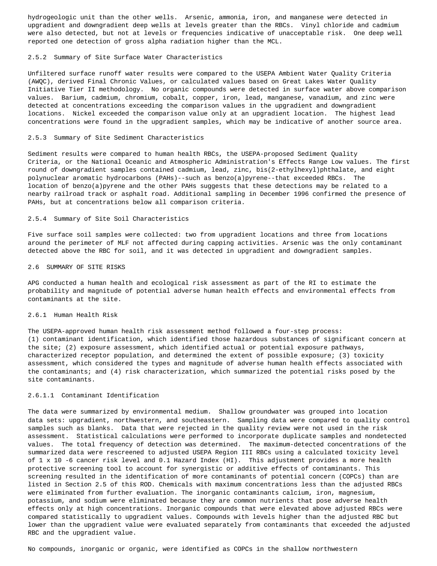hydrogeologic unit than the other wells. Arsenic, ammonia, iron, and manganese were detected in upgradient and downgradient deep wells at levels greater than the RBCs. Vinyl chloride and cadmium were also detected, but not at levels or frequencies indicative of unacceptable risk. One deep well reported one detection of gross alpha radiation higher than the MCL.

## 2.5.2 Summary of Site Surface Water Characteristics

 Unfiltered surface runoff water results were compared to the USEPA Ambient Water Quality Criteria (AWQC), derived Final Chronic Values, or calculated values based on Great Lakes Water Quality Initiative Tier II methodology. No organic compounds were detected in surface water above comparison values. Barium, cadmium, chromium, cobalt, copper, iron, lead, manganese, vanadium, and zinc were detected at concentrations exceeding the comparison values in the upgradient and downgradient locations. Nickel exceeded the comparison value only at an upgradient location. The highest lead concentrations were found in the upgradient samples, which may be indicative of another source area.

## 2.5.3 Summary of Site Sediment Characteristics

 Sediment results were compared to human health RBCs, the USEPA-proposed Sediment Quality Criteria, or the National Oceanic and Atmospheric Administration's Effects Range Low values. The first round of downgradient samples contained cadmium, lead, zinc, bis(2-ethylhexyl)phthalate, and eight polynuclear aromatic hydrocarbons (PAHs)--such as benzo(a)pyrene--that exceeded RBCs. The location of benzo(a)pyrene and the other PAHs suggests that these detections may be related to a nearby railroad track or asphalt road. Additional sampling in December 1996 confirmed the presence of PAHs, but at concentrations below all comparison criteria.

# 2.5.4 Summary of Site Soil Characteristics

 Five surface soil samples were collected: two from upgradient locations and three from locations around the perimeter of MLF not affected during capping activities. Arsenic was the only contaminant detected above the RBC for soil, and it was detected in upgradient and downgradient samples.

## 2.6 SUMMARY OF SITE RISKS

 APG conducted a human health and ecological risk assessment as part of the RI to estimate the probability and magnitude of potential adverse human health effects and environmental effects from contaminants at the site.

## 2.6.1 Human Health Risk

 The USEPA-approved human health risk assessment method followed a four-step process: (1) contaminant identification, which identified those hazardous substances of significant concern at the site; (2) exposure assessment, which identified actual or potential exposure pathways, characterized receptor population, and determined the extent of possible exposure; (3) toxicity assessment, which considered the types and magnitude of adverse human health effects associated with the contaminants; and (4) risk characterization, which summarized the potential risks posed by the site contaminants.

## 2.6.1.1 Contaminant Identification

 The data were summarized by environmental medium. Shallow groundwater was grouped into location data sets: upgradient, northwestern, and southeastern. Sampling data were compared to quality control samples such as blanks. Data that were rejected in the quality review were not used in the risk assessment. Statistical calculations were performed to incorporate duplicate samples and nondetected values. The total frequency of detection was determined. The maximum-detected concentrations of the summarized data were rescreened to adjusted USEPA Region III RBCs using a calculated toxicity level of 1 x 10 -6 cancer risk level and 0.1 Hazard Index (HI). This adjustment provides a more health protective screening tool to account for synergistic or additive effects of contaminants. This screening resulted in the identification of more contaminants of potential concern (COPCs) than are listed in Section 2.5 of this ROD. Chemicals with maximum concentrations less than the adjusted RBCs were eliminated from further evaluation. The inorganic contaminants calcium, iron, magnesium, potassium, and sodium were eliminated because they are common nutrients that pose adverse health effects only at high concentrations. Inorganic compounds that were elevated above adjusted RBCs were compared statistically to upgradient values. Compounds with levels higher than the adjusted RBC but lower than the upgradient value were evaluated separately from contaminants that exceeded the adjusted RBC and the upgradient value.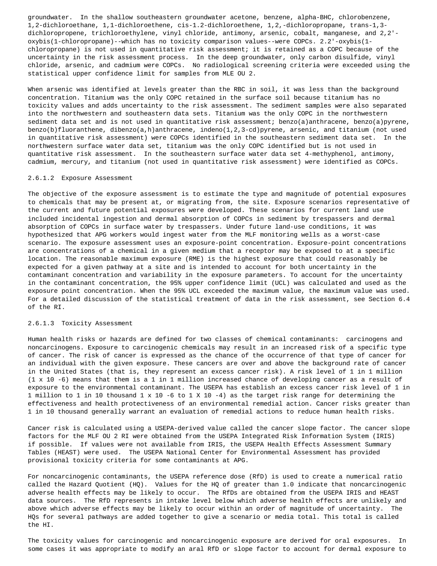groundwater. In the shallow southeastern groundwater acetone, benzene, alpha-BHC, chlorobenzene, 1,2-dichloroethane, 1,1-dichloroethene, cis-1.2-dichloroethene, 1,2,-dichloropropane, trans-1,3 dichloropropene, trichloroethylene, vinyl chloride, antimony, arsenic, cobalt, manganese, and 2,2' oxybis(1-chloropropane)--which has no toxicity comparison values--were COPCs. 2.2'-oxybis(1 chloropropane) is not used in quantitative risk assessment; it is retained as a COPC because of the uncertainty in the risk assessment process. In the deep groundwater, only carbon disulfide, vinyl chloride, arsenic, and cadmium were COPCs. No radiological screening criteria were exceeded using the statistical upper confidence limit for samples from MLE OU 2.

 When arsenic was identified at levels greater than the RBC in soil, it was less than the background concentration. Titanium was the only COPC retained in the surface soil because titanium has no toxicity values and adds uncertainty to the risk assessment. The sediment samples were also separated into the northwestern and southeastern data sets. Titanium was the only COPC in the northwestern sediment data set and is not used in quantitative risk assessment; benzo(a)anthracene, benzo(a)pyrene, benzo(b)fluoranthene, dibenzo(a,h)anthracene, indeno(1,2,3-cd)pyrene, arsenic, and titanium (not used in quantitative risk assessment) were COPCs identified in the southeastern sediment data set. In the northwestern surface water data set, titanium was the only COPC identified but is not used in quantitative risk assessment. In the southeastern surface water data set 4-methyphenol, antimony, cadmium, mercury, and titanium (not used in quantitative risk assessment) were identified as COPCs.

#### 2.6.1.2 Exposure Assessment

 The objective of the exposure assessment is to estimate the type and magnitude of potential exposures to chemicals that may be present at, or migrating from, the site. Exposure scenarios representative of the current and future potential exposures were developed. These scenarios for current land use included incidental ingestion and dermal absorption of COPCs in sediment by trespassers and dermal absorption of COPCs in surface water by trespassers. Under future land-use conditions, it was hypothesized that APG workers would ingest water from the MLF monitoring wells as a worst-case scenario. The exposure assessment uses an exposure-point concentration. Exposure-point concentrations are concentrations of a chemical in a given medium that a receptor may be exposed to at a specific location. The reasonable maximum exposure (RME) is the highest exposure that could reasonably be expected for a given pathway at a site and is intended to account for both uncertainty in the contaminant concentration and variability in the exposure parameters. To account for the uncertainty in the contaminant concentration, the 95% upper confidence limit (UCL) was calculated and used as the exposure point concentration. When the 95% UCL exceeded the maximum value, the maximum value was used. For a detailed discussion of the statistical treatment of data in the risk assessment, see Section 6.4 of the RI.

# 2.6.1.3 Toxicity Assessment

 Human health risks or hazards are defined for two classes of chemical contaminants: carcinogens and noncarcinogens. Exposure to carcinogenic chemicals may result in an increased risk of a specific type of cancer. The risk of cancer is expressed as the chance of the occurrence of that type of cancer for an individual with the given exposure. These cancers are over and above the background rate of cancer in the United States (that is, they represent an excess cancer risk). A risk level of 1 in 1 million (1 x 10 -6) means that them is a 1 in 1 million increased chance of developing cancer as a result of exposure to the environmental contaminant. The USEPA has establish an excess cancer risk level of 1 in 1 million to 1 in 10 thousand 1 x 10 -6 to 1 X 10 -4) as the target risk range for determining the effectiveness and health protectiveness of an environmental remedial action. Cancer risks greater than 1 in 10 thousand generally warrant an evaluation of remedial actions to reduce human health risks.

 Cancer risk is calculated using a USEPA-derived value called the cancer slope factor. The cancer slope factors for the MLF OU 2 RI were obtained from the USEPA Integrated Risk Information System (IRIS) if possible. If values were not available from IRIS, the USEPA Health Effects Assessment Summary Tables (HEAST) were used. The USEPA National Center for Environmental Assessment has provided provisional toxicity criteria for some contaminants at APG.

 For noncarcinogenic contaminants, the USEPA reference dose (RfD) is used to create a numerical ratio called the Hazard Quotient (HQ). Values for the HQ of greater than 1.0 indicate that noncarcinogenic adverse health effects may be likely to occur. The RfDs are obtained from the USEPA IRIS and HEAST data sources. The RfD represents in intake level below which adverse health effects are unlikely and above which adverse effects may be likely to occur within an order of magnitude of uncertainty. The HQs for several pathways are added together to give a scenario or media total. This total is called the HI.

 The toxicity values for carcinogenic and noncarcinogenic exposure are derived for oral exposures. In some cases it was appropriate to modify an aral RfD or slope factor to account for dermal exposure to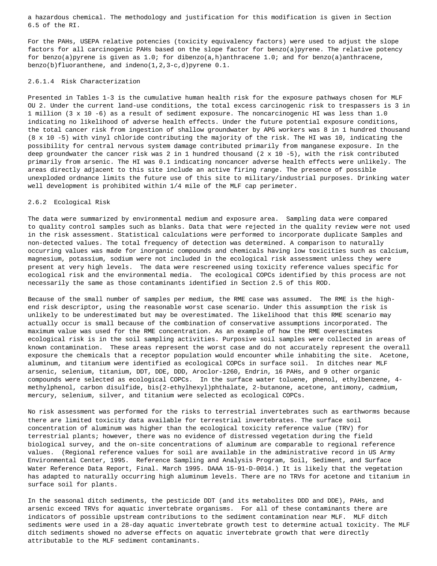a hazardous chemical. The methodology and justification for this modification is given in Section 6.5 of the RI.

 For the PAHs, USEPA relative potencies (toxicity equivalency factors) were used to adjust the slope factors for all carcinogenic PAHs based on the slope factor for benzo(a)pyrene. The relative potency for benzo(a)pyrene is given as 1.0; for dibenzo(a,h)anthracene 1.0; and for benzo(a)anthracene, benzo(b)fluoranthene, and indeno(1,2,3-c,d)pyrene 0.1.

# 2.6.1.4 Risk Characterization

 Presented in Tables 1-3 is the cumulative human health risk for the exposure pathways chosen for MLF OU 2. Under the current land-use conditions, the total excess carcinogenic risk to trespassers is 3 in 1 million (3 x 10 -6) as a result of sediment exposure. The noncarcinogenic HI was less than 1.0 indicating no likelihood of adverse health effects. Under the future potential exposure conditions, the total cancer risk from ingestion of shallow groundwater by APG workers was 8 in 1 hundred thousand (8 x 10 -5) with vinyl chloride contributing the majority of the risk. The HI was 10, indicating the possibility for central nervous system damage contributed primarily from manganese exposure. In the deep groundwater the cancer risk was 2 in 1 hundred thousand (2 x 10 -5), with the risk contributed primarily from arsenic. The HI was 0.1 indicating noncancer adverse health effects were unlikely. The areas directly adjacent to this site include an active firing range. The presence of possible unexploded ordnance limits the future use of this site to military/industrial purposes. Drinking water well development is prohibited within 1/4 mile of the MLF cap perimeter.

## 2.6.2 Ecological Risk

 The data were summarized by environmental medium and exposure area. Sampling data were compared to quality control samples such as blanks. Data that were rejected in the quality review were not used in the risk assessment. Statistical calculations were performed to incorporate duplicate Samples and non-detected values. The total frequency of detection was determined. A comparison to naturally occurring values was made for inorganic compounds and chemicals having low toxicities such as calcium, magnesium, potassium, sodium were not included in the ecological risk assessment unless they were present at very high levels. The data were rescreened using toxicity reference values specific for ecological risk and the environmental media. The ecological COPCs identified by this process are not necessarily the same as those contaminants identified in Section 2.5 of this ROD.

 Because of the small number of samples per medium, the RME case was assumed. The RME is the high end risk descriptor, using the reasonable worst case scenario. Under this assumption the risk is unlikely to be underestimated but may be overestimated. The likelihood that this RME scenario may actually occur is small because of the combination of conservative assumptions incorporated. The maximum value was used for the RME concentration. As an example of how the RME overestimates ecological risk is in the soil sampling activities. Purposive soil samples were collected in areas of known contamination. These areas represent the worst case and do not accurately represent the overall exposure the chemicals that a receptor population would encounter while inhabiting the site. Acetone, aluminum, and titanium were identified as ecological COPCs in surface soil. In ditches near MLF arsenic, selenium, titanium, DDT, DDE, DDD, Aroclor-1260, Endrin, 16 PAHs, and 9 other organic compounds were selected as ecological COPCs. In the surface water toluene, phenol, ethylbenzene, 4 methylphenol, carbon disulfide, bis(2-ethylhexyl)phthalate, 2-butanone, acetone, antimony, cadmium, mercury, selenium, silver, and titanium were selected as ecological COPCs.

 No risk assessment was performed for the risks to terrestrial invertebrates such as earthworms because there are limited toxicity data available for terrestrial invertebrates. The surface soil concentration of aluminum was higher than the ecological toxicity reference value (TRV) for terrestrial plants; however, there was no evidence of distressed vegetation during the field biological survey, and the on-site concentrations of aluminum are comparable to regional reference values. (Regional reference values for soil are available in the administrative record in US Army Environmental Center, 1995. Reference Sampling and Analysis Program, Soil, Sediment, and Surface Water Reference Data Report, Final. March 1995. DAAA 15-91-D-0014.) It is likely that the vegetation has adapted to naturally occurring high aluminum levels. There are no TRVs for acetone and titanium in surface soil for plants.

 In the seasonal ditch sediments, the pesticide DDT (and its metabolites DDD and DDE), PAHs, and arsenic exceed TRVs for aquatic invertebrate organisms. For all of these contaminants there are indicators of possible upstream contributions to the sediment contamination near MLF. MLF ditch sediments were used in a 28-day aquatic invertebrate growth test to determine actual toxicity. The MLF ditch sediments showed no adverse effects on aquatic invertebrate growth that were directly attributable to the MLF sediment contaminants.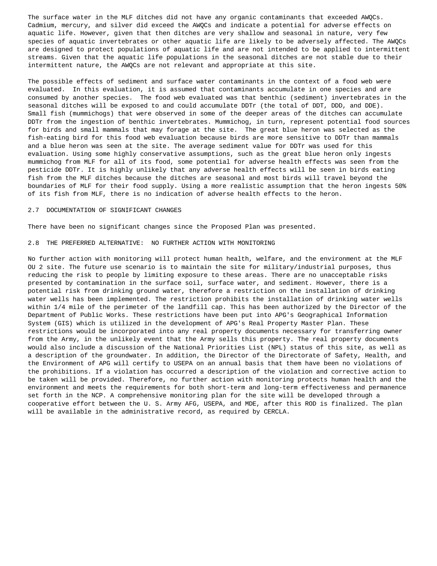The surface water in the MLF ditches did not have any organic contaminants that exceeded AWQCs. Cadmium, mercury, and silver did exceed the AWQCs and indicate a potential for adverse effects on aquatic life. However, given that then ditches are very shallow and seasonal in nature, very few species of aquatic invertebrates or other aquatic life are likely to be adversely affected. The AWQCs are designed to protect populations of aquatic life and are not intended to be applied to intermittent streams. Given that the aquatic life populations in the seasonal ditches are not stable due to their intermittent nature, the AWQCs are not relevant and appropriate at this site.

 The possible effects of sediment and surface water contaminants in the context of a food web were evaluated. In this evaluation, it is assumed that contaminants accumulate in one species and are consumed by another species. The food web evaluated was that benthic (sediment) invertebrates in the seasonal ditches will be exposed to and could accumulate DDTr (the total of DDT, DDD, and DDE). Small fish (mummichogs) that were observed in some of the deeper areas of the ditches can accumulate DDTr from the ingestion of benthic invertebrates. Mummichog, in turn, represent potential food sources for birds and small mammals that may forage at the site. The great blue heron was selected as the fish-eating bird for this food web evaluation because birds are more sensitive to DDTr than mammals and a blue heron was seen at the site. The average sediment value for DDTr was used for this evaluation. Using some highly conservative assumptions, such as the great blue heron only ingests mummichog from MLF for all of its food, some potential for adverse health effects was seen from the pesticide DDTr. It is highly unlikely that any adverse health effects will be seen in birds eating fish from the MLF ditches because the ditches are seasonal and most birds will travel beyond the boundaries of MLF for their food supply. Using a more realistic assumption that the heron ingests 50% of its fish from MLF, there is no indication of adverse health effects to the heron.

#### 2.7 DOCUMENTATION OF SIGNIFICANT CHANGES

There have been no significant changes since the Proposed Plan was presented.

#### 2.8 THE PREFERRED ALTERNATIVE: NO FURTHER ACTION WITH MONITORING

 No further action with monitoring will protect human health, welfare, and the environment at the MLF OU 2 site. The future use scenario is to maintain the site for military/industrial purposes, thus reducing the risk to people by limiting exposure to these areas. There are no unacceptable risks presented by contamination in the surface soil, surface water, and sediment. However, there is a potential risk from drinking ground water, therefore a restriction on the installation of drinking water wells has been implemented. The restriction prohibits the installation of drinking water wells within 1/4 mile of the perimeter of the landfill cap. This has been authorized by the Director of the Department of Public Works. These restrictions have been put into APG's Geographical Information System (GIS) which is utilized in the development of APG's Real Property Master Plan. These restrictions would be incorporated into any real property documents necessary for transferring owner from the Army, in the unlikely event that the Army sells this property. The real property documents would also include a discussion of the National Priorities List (NPL) status of this site, as well as a description of the groundwater. In addition, the Director of the Directorate of Safety, Health, and the Environment of APG will certify to USEPA on an annual basis that them have been no violations of the prohibitions. If a violation has occurred a description of the violation and corrective action to be taken will be provided. Therefore, no further action with monitoring protects human health and the environment and meets the requirements for both short-term and long-term effectiveness and permanence set forth in the NCP. A comprehensive monitoring plan for the site will be developed through a cooperative effort between the U. S. Army AFG, USEPA, and MDE, after this ROD is finalized. The plan will be available in the administrative record, as required by CERCLA.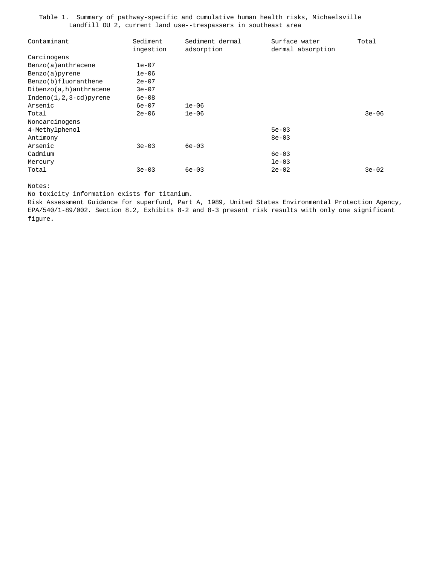Table 1. Summary of pathway-specific and cumulative human health risks, Michaelsville Landfill OU 2, current land use--trespassers in southeast area

| Contaminant               | Sediment   | Sediment dermal | Surface water     | Total     |
|---------------------------|------------|-----------------|-------------------|-----------|
|                           | ingestion  | adsorption      | dermal absorption |           |
| Carcinogens               |            |                 |                   |           |
| Benzo(a)anthracene        | $1e-07$    |                 |                   |           |
| Benzo(a) pyrene           | $1e-06$    |                 |                   |           |
| Benzo(b)fluoranthene      | $2e-07$    |                 |                   |           |
| $Dibenzo(a,h)$ anthracene | $3e-07$    |                 |                   |           |
| $Indeno(1,2,3-cd)pyrene$  | $6e-08$    |                 |                   |           |
| Arsenic                   | $6e-07$    | $1e-06$         |                   |           |
| Total                     | $2e - 06$  | $1e-06$         |                   | $3e - 06$ |
| Noncarcinogens            |            |                 |                   |           |
| 4-Methylphenol            |            |                 | $5e-03$           |           |
| Antimony                  |            |                 | $8e - 03$         |           |
| Arsenic                   | $3e-03$    | $6e - 03$       |                   |           |
| Cadmium                   |            |                 | $6e - 03$         |           |
| Mercury                   |            |                 | $le-03$           |           |
| Total                     | $3e - 0.3$ | $6e - 03$       | $2e-02$           | $3e-02$   |

Notes:

No toxicity information exists for titanium.

 Risk Assessment Guidance for superfund, Part A, 1989, United States Environmental Protection Agency, EPA/540/1-89/002. Section 8.2, Exhibits 8-2 and 8-3 present risk results with only one significant figure.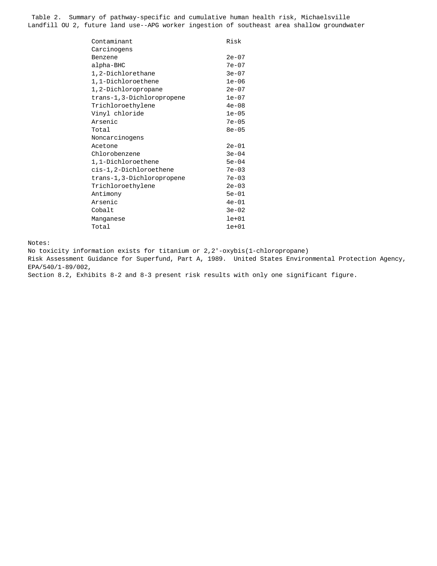Table 2. Summary of pathway-specific and cumulative human health risk, Michaelsville Landfill OU 2, future land use--APG worker ingestion of southeast area shallow groundwater

| Contaminant               | Risk      |
|---------------------------|-----------|
| Carcinogens               |           |
| Benzene                   | $2e-07$   |
| alpha-BHC                 | $7e-07$   |
| 1,2-Dichlorethane         | $3e-07$   |
| 1,1-Dichloroethene        | $1e-06$   |
| 1,2-Dichloropropane       | $2e-07$   |
| trans-1,3-Dichloropropene | $1e-07$   |
| Trichloroethylene         | $4e-08$   |
| Vinyl chloride            | $1e-05$   |
| Arsenic                   | $7e-05$   |
| Total                     | $8e - 05$ |
| Noncarcinogens            |           |
| Acetone                   | $2e - 01$ |
| Chlorobenzene             | $3e-04$   |
| 1,1-Dichloroethene        | $5e-04$   |
| cis-1,2-Dichloroethene    | $7e-03$   |
| trans-1,3-Dichloropropene | $7e-03$   |
| Trichloroethylene         | $2e-03$   |
| Antimony                  | $5e-01$   |
| Arsenic                   | $4e-01$   |
| Cobalt                    | $3e-02$   |
| Manganese                 | $1e+01$   |
| Total                     | $1e+01$   |
|                           |           |

Notes:

No toxicity information exists for titanium or 2,2'-oxybis(1-chloropropane)

 Risk Assessment Guidance for Superfund, Part A, 1989. United States Environmental Protection Agency, EPA/540/1-89/002,

Section 8.2, Exhibits 8-2 and 8-3 present risk results with only one significant figure.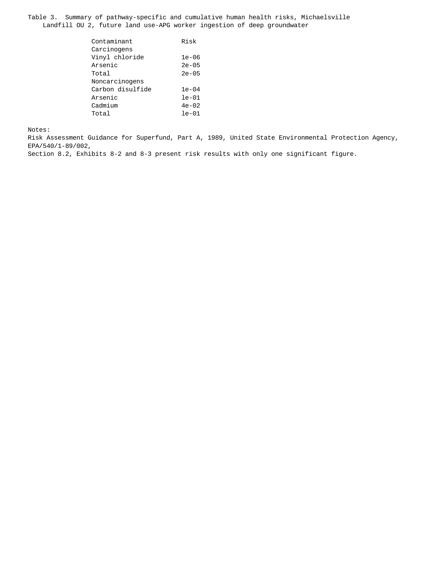Table 3. Summary of pathway-specific and cumulative human health risks, Michaelsville Landfill OU 2, future land use-APG worker ingestion of deep groundwater

| Contaminant      | Risk      |
|------------------|-----------|
| Carcinogens      |           |
| Vinyl chloride   | $1e-06$   |
| Arsenic          | $2e - 05$ |
| Total            | $2e - 05$ |
| Noncarcinogens   |           |
| Carbon disulfide | $1e-04$   |
| Arsenic          | $le-01$   |
| Cadmium          | $4e-02$   |
| Total            | $le-01$   |
|                  |           |

Notes:

 Risk Assessment Guidance for Superfund, Part A, 1989, United State Environmental Protection Agency, EPA/540/1-89/002,

Section 8.2, Exhibits 8-2 and 8-3 present risk results with only one significant figure.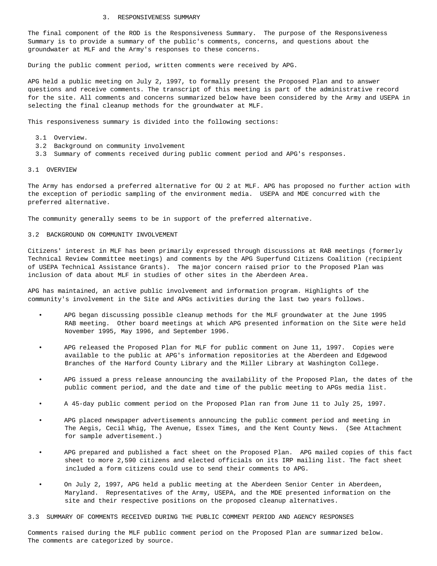#### 3. RESPONSIVENESS SUMMARY

 The final component of the ROD is the Responsiveness Summary. The purpose of the Responsiveness Summary is to provide a summary of the public's comments, concerns, and questions about the groundwater at MLF and the Army's responses to these concerns.

During the public comment period, written comments were received by APG.

 APG held a public meeting on July 2, 1997, to formally present the Proposed Plan and to answer questions and receive comments. The transcript of this meeting is part of the administrative record for the site. All comments and concerns summarized below have been considered by the Army and USEPA in selecting the final cleanup methods for the groundwater at MLF.

This responsiveness summary is divided into the following sections:

- 3.1 Overview.
- 3.2 Background on community involvement
- 3.3 Summary of comments received during public comment period and APG's responses.

#### 3.1 OVERVIEW

 The Army has endorsed a preferred alternative for OU 2 at MLF. APG has proposed no further action with the exception of periodic sampling of the environment media. USEPA and MDE concurred with the preferred alternative.

The community generally seems to be in support of the preferred alternative.

#### 3.2 BACKGROUND ON COMMUNITY INVOLVEMENT

 Citizens' interest in MLF has been primarily expressed through discussions at RAB meetings (formerly Technical Review Committee meetings) and comments by the APG Superfund Citizens Coalition (recipient of USEPA Technical Assistance Grants). The major concern raised prior to the Proposed Plan was inclusion of data about MLF in studies of other sites in the Aberdeen Area.

 APG has maintained, an active public involvement and information program. Highlights of the community's involvement in the Site and APGs activities during the last two years follows.

- APG began discussing possible cleanup methods for the MLF groundwater at the June 1995 RAB meeting. Other board meetings at which APG presented information on the Site were held November 1995, May 1996, and September 1996.
- APG released the Proposed Plan for MLF for public comment on June 11, 1997. Copies were available to the public at APG's information repositories at the Aberdeen and Edgewood Branches of the Harford County Library and the Miller Library at Washington College.
- APG issued a press release announcing the availability of the Proposed Plan, the dates of the public comment period, and the date and time of the public meeting to APGs media list.
- A 45-day public comment period on the Proposed Plan ran from June 11 to July 25, 1997.
- APG placed newspaper advertisements announcing the public comment period and meeting in The Aegis, Cecil Whig, The Avenue, Essex Times, and the Kent County News. (See Attachment for sample advertisement.)
- APG prepared and published a fact sheet on the Proposed Plan. APG mailed copies of this fact sheet to more 2,590 citizens and elected officials on its IRP mailing list. The fact sheet included a form citizens could use to send their comments to APG.
- On July 2, 1997, APG held a public meeting at the Aberdeen Senior Center in Aberdeen, Maryland. Representatives of the Army, USEPA, and the MDE presented information on the site and their respective positions on the proposed cleanup alternatives.

3.3 SUMMARY OF COMMENTS RECEIVED DURING THE PUBLIC COMMENT PERIOD AND AGENCY RESPONSES

 Comments raised during the MLF public comment period on the Proposed Plan are summarized below. The comments are categorized by source.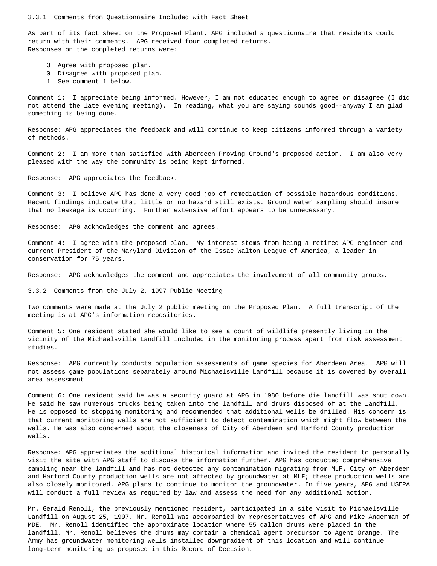#### 3.3.1 Comments from Questionnaire Included with Fact Sheet

 As part of its fact sheet on the Proposed Plant, APG included a questionnaire that residents could return with their comments. APG received four completed returns. Responses on the completed returns were:

- 3 Agree with proposed plan.
- 0 Disagree with proposed plan.
- 1 See comment 1 below.

 Comment 1: I appreciate being informed. However, I am not educated enough to agree or disagree (I did not attend the late evening meeting). In reading, what you are saying sounds good--anyway I am glad something is being done.

 Response: APG appreciates the feedback and will continue to keep citizens informed through a variety of methods.

 Comment 2: I am more than satisfied with Aberdeen Proving Ground's proposed action. I am also very pleased with the way the community is being kept informed.

Response: APG appreciates the feedback.

 Comment 3: I believe APG has done a very good job of remediation of possible hazardous conditions. Recent findings indicate that little or no hazard still exists. Ground water sampling should insure that no leakage is occurring. Further extensive effort appears to be unnecessary.

Response: APG acknowledges the comment and agrees.

 Comment 4: I agree with the proposed plan. My interest stems from being a retired APG engineer and current President of the Maryland Division of the Issac Walton League of America, a leader in conservation for 75 years.

Response: APG acknowledges the comment and appreciates the involvement of all community groups.

3.3.2 Comments from the July 2, 1997 Public Meeting

 Two comments were made at the July 2 public meeting on the Proposed Plan. A full transcript of the meeting is at APG's information repositories.

 Comment 5: One resident stated she would like to see a count of wildlife presently living in the vicinity of the Michaelsville Landfill included in the monitoring process apart from risk assessment studies.

 Response: APG currently conducts population assessments of game species for Aberdeen Area. APG will not assess game populations separately around Michaelsville Landfill because it is covered by overall area assessment

 Comment 6: One resident said he was a security guard at APG in 1980 before die landfill was shut down. He said he saw numerous trucks being taken into the landfill and drums disposed of at the landfill. He is opposed to stopping monitoring and recommended that additional wells be drilled. His concern is that current monitoring wells are not sufficient to detect contamination which might flow between the wells. He was also concerned about the closeness of City of Aberdeen and Harford County production wells.

 Response: APG appreciates the additional historical information and invited the resident to personally visit the site with APG staff to discuss the information further. APG has conducted comprehensive sampling near the landfill and has not detected any contamination migrating from MLF. City of Aberdeen and Harford County production wells are not affected by groundwater at MLF; these production wells are also closely monitored. APG plans to continue to monitor the groundwater. In five years, APG and USEPA will conduct a full review as required by law and assess the need for any additional action.

 Mr. Gerald Renoll, the previously mentioned resident, participated in a site visit to Michaelsville Landfill on August 25, 1997. Mr. Renoll was accompanied by representatives of APG and Mike Angerman of MDE. Mr. Renoll identified the approximate location where 55 gallon drums were placed in the landfill. Mr. Renoll believes the drums may contain a chemical agent precursor to Agent Orange. The Army has groundwater monitoring wells installed downgradient of this location and will continue long-term monitoring as proposed in this Record of Decision.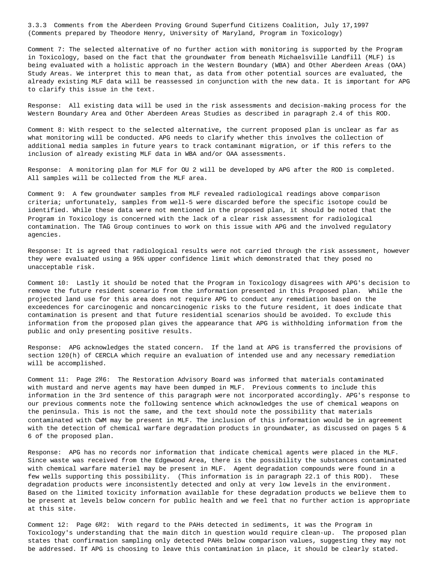3.3.3 Comments from the Aberdeen Proving Ground Superfund Citizens Coalition, July 17,1997 (Comments prepared by Theodore Henry, University of Maryland, Program in Toxicology)

 Comment 7: The selected alternative of no further action with monitoring is supported by the Program in Toxicology, based on the fact that the groundwater from beneath Michaelsville Landfill (MLF) is being evaluated with a holistic approach in the Western Boundary (WBA) and Other Aberdeen Areas (OAA) Study Areas. We interpret this to mean that, as data from other potential sources are evaluated, the already existing MLF data will be reassessed in conjunction with the new data. It is important for APG to clarify this issue in the text.

 Response: All existing data will be used in the risk assessments and decision-making process for the Western Boundary Area and Other Aberdeen Areas Studies as described in paragraph 2.4 of this ROD.

 Comment 8: With respect to the selected alternative, the current proposed plan is unclear as far as what monitoring will be conducted. APG needs to clarify whether this involves the collection of additional media samples in future years to track contaminant migration, or if this refers to the inclusion of already existing MLF data in WBA and/or OAA assessments.

 Response: A monitoring plan for MLF for OU 2 will be developed by APG after the ROD is completed. All samples will be collected from the MLF area.

 Comment 9: A few groundwater samples from MLF revealed radiological readings above comparison criteria; unfortunately, samples from well-5 were discarded before the specific isotope could be identified. While these data were not mentioned in the proposed plan, it should be noted that the Program in Toxicology is concerned with the lack of a clear risk assessment for radiological contamination. The TAG Group continues to work on this issue with APG and the involved regulatory agencies.

 Response: It is agreed that radiological results were not carried through the risk assessment, however they were evaluated using a 95% upper confidence limit which demonstrated that they posed no unacceptable risk.

 Comment 10: Lastly it should be noted that the Program in Toxicology disagrees with APG's decision to remove the future resident scenario from the information presented in this Proposed plan. While the projected land use for this area does not require APG to conduct any remediation based on the exceedences for carcinogenic and noncarcinogenic risks to the future resident, it does indicate that contamination is present and that future residential scenarios should be avoided. To exclude this information from the proposed plan gives the appearance that APG is withholding information from the public and only presenting positive results.

 Response: APG acknowledges the stated concern. If the land at APG is transferred the provisions of section 120(h) of CERCLA which require an evaluation of intended use and any necessary remediation will be accomplished.

 Comment 11: Page 2M6: The Restoration Advisory Board was informed that materials contaminated with mustard and nerve agents may have been dumped in MLF. Previous comments to include this information in the 3rd sentence of this paragraph were not incorporated accordingly. APG's response to our previous comments note the following sentence which acknowledges the use of chemical weapons on the peninsula. This is not the same, and the text should note the possibility that materials contaminated with CWM may be present in MLF. The inclusion of this information would be in agreement with the detection of chemical warfare degradation products in groundwater, as discussed on pages 5 & 6 of the proposed plan.

 Response: APG has no records nor information that indicate chemical agents were placed in the MLF. Since waste was received from the Edgewood Area, there is the possibility the substances contaminated with chemical warfare materiel may be present in MLF. Agent degradation compounds were found in a few wells supporting this possibility. (This information is in paragraph 22.1 of this ROD). These degradation products were inconsistently detected and only at very low levels in the environment. Based on the limited toxicity information available for these degradation products we believe them to be present at levels below concern for public health and we feel that no further action is appropriate at this site.

 Comment 12: Page 6M2: With regard to the PAHs detected in sediments, it was the Program in Toxicology's understanding that the main ditch in question would require clean-up. The proposed plan states that confirmation sampling only detected PAHs below comparison values, suggesting they may not be addressed. If APG is choosing to leave this contamination in place, it should be clearly stated.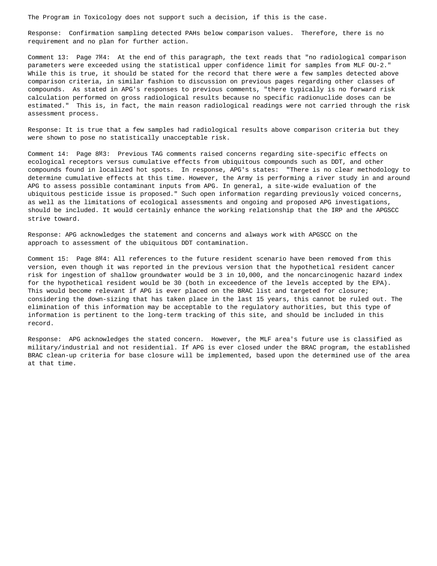The Program in Toxicology does not support such a decision, if this is the case.

 Response: Confirmation sampling detected PAHs below comparison values. Therefore, there is no requirement and no plan for further action.

 Comment 13: Page 7M4: At the end of this paragraph, the text reads that "no radiological comparison parameters were exceeded using the statistical upper confidence limit for samples from MLF OU-2." While this is true, it should be stated for the record that there were a few samples detected above comparison criteria, in similar fashion to discussion on previous pages regarding other classes of compounds. As stated in APG's responses to previous comments, "there typically is no forward risk calculation performed on gross radiological results because no specific radionuclide doses can be estimated." This is, in fact, the main reason radiological readings were not carried through the risk assessment process.

 Response: It is true that a few samples had radiological results above comparison criteria but they were shown to pose no statistically unacceptable risk.

 Comment 14: Page 8M3: Previous TAG comments raised concerns regarding site-specific effects on ecological receptors versus cumulative effects from ubiquitous compounds such as DDT, and other compounds found in localized hot spots. In response, APG's states: "There is no clear methodology to determine cumulative effects at this time. However, the Army is performing a river study in and around APG to assess possible contaminant inputs from APG. In general, a site-wide evaluation of the ubiquitous pesticide issue is proposed." Such open information regarding previously voiced concerns, as well as the limitations of ecological assessments and ongoing and proposed APG investigations, should be included. It would certainly enhance the working relationship that the IRP and the APGSCC strive toward.

 Response: APG acknowledges the statement and concerns and always work with APGSCC on the approach to assessment of the ubiquitous DDT contamination.

 Comment 15: Page 8M4: All references to the future resident scenario have been removed from this version, even though it was reported in the previous version that the hypothetical resident cancer risk for ingestion of shallow groundwater would be 3 in 10,000, and the noncarcinogenic hazard index for the hypothetical resident would be 30 (both in exceedence of the levels accepted by the EPA). This would become relevant if APG is ever placed on the BRAC list and targeted for closure; considering the down-sizing that has taken place in the last 15 years, this cannot be ruled out. The elimination of this information may be acceptable to the regulatory authorities, but this type of information is pertinent to the long-term tracking of this site, and should be included in this record.

 Response: APG acknowledges the stated concern. However, the MLF area's future use is classified as military/industrial and not residential. If APG is ever closed under the BRAC program, the established BRAC clean-up criteria for base closure will be implemented, based upon the determined use of the area at that time.